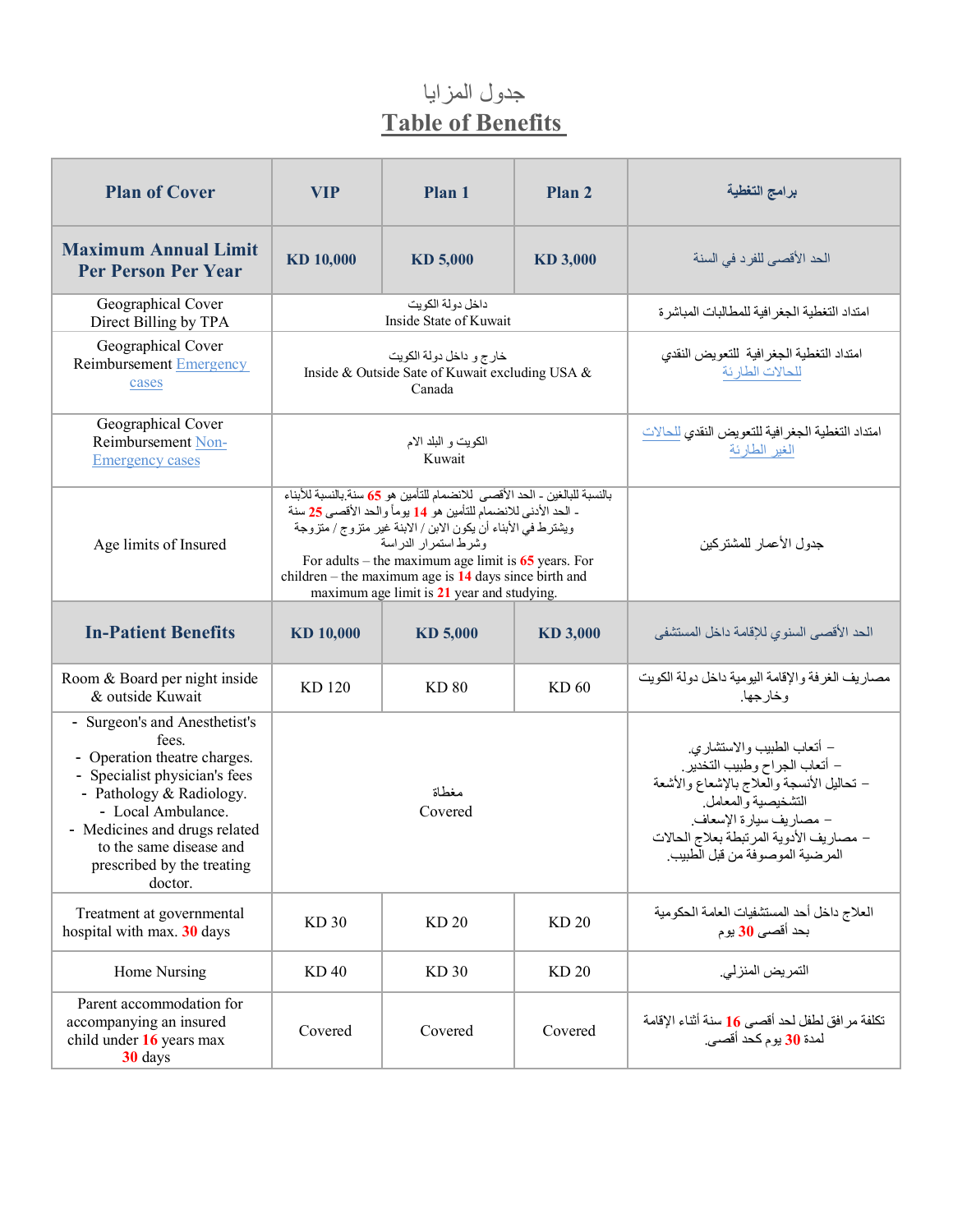## جدول المزایا **Table of Benefits**

| <b>Plan of Cover</b>                                                                                                                                                                                                                                           | <b>VIP</b>  | Plan 1                                                                                                                                                                                                                                                                                                                                                                                                | Plan 2                                                                                                                                                                                                                               | برامج التغطية                                                            |
|----------------------------------------------------------------------------------------------------------------------------------------------------------------------------------------------------------------------------------------------------------------|-------------|-------------------------------------------------------------------------------------------------------------------------------------------------------------------------------------------------------------------------------------------------------------------------------------------------------------------------------------------------------------------------------------------------------|--------------------------------------------------------------------------------------------------------------------------------------------------------------------------------------------------------------------------------------|--------------------------------------------------------------------------|
| <b>Maximum Annual Limit</b><br><b>Per Person Per Year</b>                                                                                                                                                                                                      | KD 10,000   | KD 5,000                                                                                                                                                                                                                                                                                                                                                                                              | KD 3,000                                                                                                                                                                                                                             | الحد الأقصبي للفر د في السنة                                             |
| Geographical Cover<br>Direct Billing by TPA                                                                                                                                                                                                                    |             | داخل دولة الكويت<br>Inside State of Kuwait                                                                                                                                                                                                                                                                                                                                                            | امتداد التغطية الجغر افية للمطالبات المباشر ة                                                                                                                                                                                        |                                                                          |
| Geographical Cover<br><b>Reimbursement Emergency</b><br>cases                                                                                                                                                                                                  |             | خارج و داخل دولة الكويت<br>Inside & Outside Sate of Kuwait excluding USA &<br>Canada                                                                                                                                                                                                                                                                                                                  | امتداد التغطية الجغرافية للتعويض النقدي<br>للحالات الطارئة                                                                                                                                                                           |                                                                          |
| Geographical Cover<br>Reimbursement Non-<br><b>Emergency cases</b>                                                                                                                                                                                             |             | الكويت و البلد الام<br>Kuwait                                                                                                                                                                                                                                                                                                                                                                         | امتداد التغطية الجغرافية للتعويض النقدي للحالات<br>الغير الطارئة                                                                                                                                                                     |                                                                          |
| Age limits of Insured                                                                                                                                                                                                                                          |             | بالنسبة للبالغين - الحد الأقصى للانضمام للتأمين هو 65 سنة بالنسبة للأبناء<br>- الحد الأدنى للانضمام للتأمين هو 14 يوماً والحد الأقصىي 25 سنة<br>ويشترط في الأبناء أن يكون الابن / الابنة غير متزوج / متزوجة<br>وشرط استمرار الدراسة<br>For adults – the maximum age limit is $65$ years. For<br>children – the maximum age is $14$ days since birth and<br>maximum age limit is 21 year and studying. | جدول الأعمار للمشتركين                                                                                                                                                                                                               |                                                                          |
| <b>In-Patient Benefits</b>                                                                                                                                                                                                                                     | KD 10,000   | KD 5,000                                                                                                                                                                                                                                                                                                                                                                                              | KD 3,000                                                                                                                                                                                                                             | الحد الأقصىي السنوى للإقامة داخل المستشفى                                |
| Room & Board per night inside<br>& outside Kuwait                                                                                                                                                                                                              | KD 120      | <b>KD 80</b>                                                                                                                                                                                                                                                                                                                                                                                          | KD 60                                                                                                                                                                                                                                | مصاريف الغرفة والإقامة اليومية داخل دولة الكويت<br>وخارجها.              |
| - Surgeon's and Anesthetist's<br>fees.<br>- Operation theatre charges.<br>- Specialist physician's fees<br>- Pathology & Radiology.<br>- Local Ambulance.<br>- Medicines and drugs related<br>to the same disease and<br>prescribed by the treating<br>doctor. |             | مغطاة<br>Covered                                                                                                                                                                                                                                                                                                                                                                                      | – أتعاب الطبيب والاستشاري<br>– أتعاب الجراح وطبيب التخدير<br>– تحاليل الأنسجة والعلاج بالإشعاع والأشعة<br>التشخيصية والمعامل<br>– مصاريف سيارة الإسعاف.<br>- مصاريف الأدوية المرتبطة بعلاج الحالات<br>المرضية الموصوفة من قبل الطبيب |                                                                          |
| Treatment at governmental<br>hospital with max. 30 days                                                                                                                                                                                                        | KD 30       | KD 20                                                                                                                                                                                                                                                                                                                                                                                                 | <b>KD20</b>                                                                                                                                                                                                                          | العلاج داخل أحد المستشفيات العامة الحكومية<br>بحد أقصى 30 يوم            |
| Home Nursing                                                                                                                                                                                                                                                   | <b>KD40</b> | KD 30                                                                                                                                                                                                                                                                                                                                                                                                 | <b>KD20</b>                                                                                                                                                                                                                          | التمريض المنزلي.                                                         |
| Parent accommodation for<br>accompanying an insured<br>child under 16 years max<br>30 days                                                                                                                                                                     | Covered     | Covered                                                                                                                                                                                                                                                                                                                                                                                               | Covered                                                                                                                                                                                                                              | تكلفة مرافق لطفل لحد أقصبي 16 سنة أثناء الإقامة<br>لمدة 30 يوم كحد أقصىي |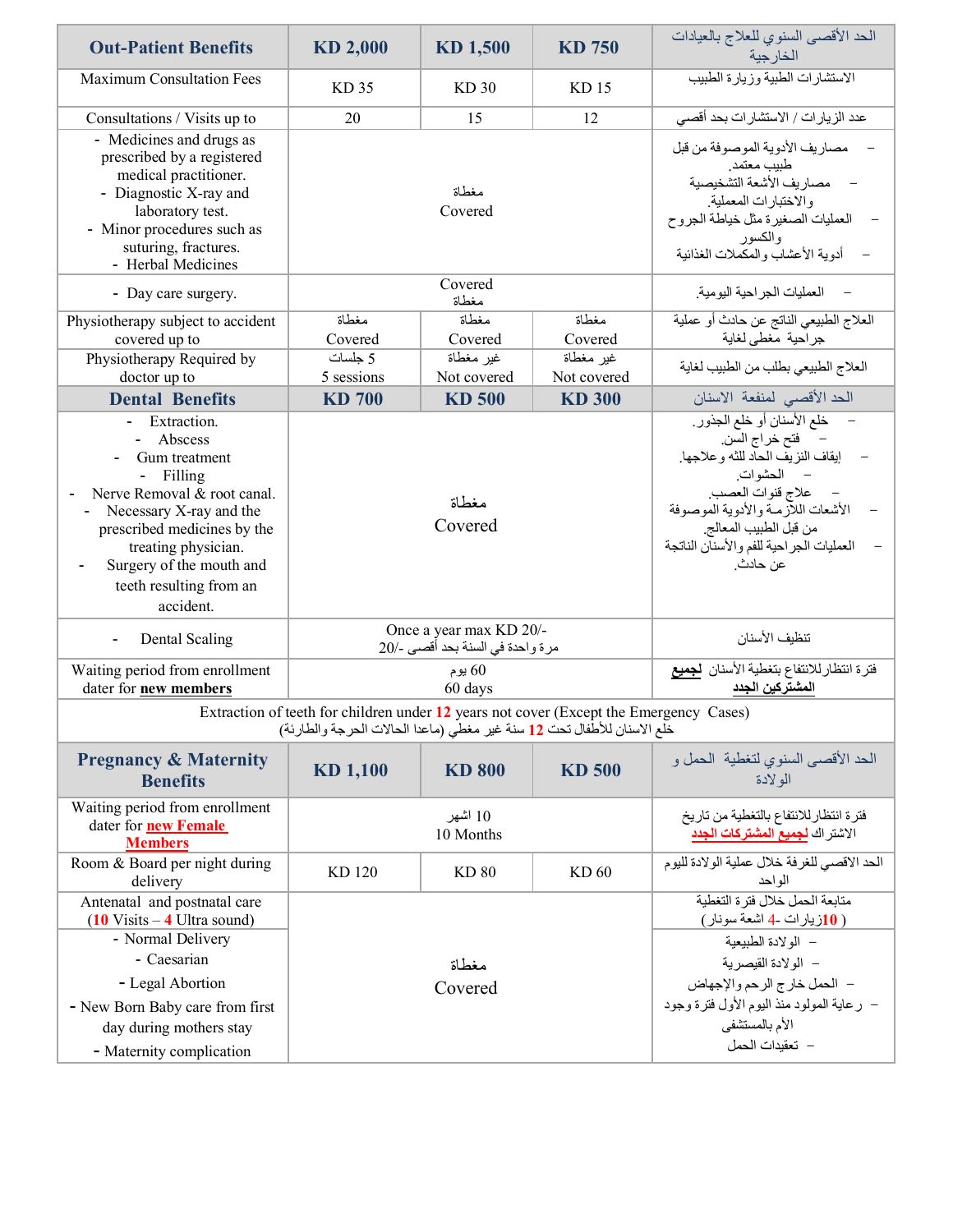| <b>Out-Patient Benefits</b>                                                                                                                                                                                                                | KD 2,000       | KD 1,500                                                    |                                                                                                                                                                                                                                           | الحد الأقصبي السنوي للعلاج بالعيادات<br>الخارجية       |  |  |  |
|--------------------------------------------------------------------------------------------------------------------------------------------------------------------------------------------------------------------------------------------|----------------|-------------------------------------------------------------|-------------------------------------------------------------------------------------------------------------------------------------------------------------------------------------------------------------------------------------------|--------------------------------------------------------|--|--|--|
| <b>Maximum Consultation Fees</b>                                                                                                                                                                                                           | KD 35<br>KD30  |                                                             | KD <sub>15</sub>                                                                                                                                                                                                                          | الاستشارات الطبية وزيارة الطبيب                        |  |  |  |
| Consultations / Visits up to                                                                                                                                                                                                               | 20<br>12<br>15 |                                                             |                                                                                                                                                                                                                                           | عدد الزيار ات / الاستشار ات بحد أقصى                   |  |  |  |
| - Medicines and drugs as<br>prescribed by a registered<br>medical practitioner.<br>- Diagnostic X-ray and<br>laboratory test.<br>- Minor procedures such as<br>suturing, fractures.<br>- Herbal Medicines                                  |                | مغطاة<br>Covered                                            | مصاريف الأدوية الموصوفة من قبل<br>طبيب معتمد<br>– مصاريف الأشعة التشخيصية<br>والاختبارات المعملية<br>العمليات الصغيرة مثل خياطة الجروح<br>والكسور<br>أدوية الأعشاب والمكملات الغذائية                                                     |                                                        |  |  |  |
| - Day care surgery.                                                                                                                                                                                                                        |                | Covered<br>مغطاة                                            |                                                                                                                                                                                                                                           | – العمليات الجر احية اليو مية.                         |  |  |  |
| Physiotherapy subject to accident                                                                                                                                                                                                          | مغطاة          | مغطاة                                                       | مغطاة                                                                                                                                                                                                                                     | العلاج الطبيعي الناتج عن حادث أو عملية                 |  |  |  |
| covered up to                                                                                                                                                                                                                              | Covered        | Covered                                                     | Covered                                                                                                                                                                                                                                   | جراحية مغطى لغاية                                      |  |  |  |
| Physiotherapy Required by                                                                                                                                                                                                                  | 5 جلسات        | غير مغطاة                                                   | غير مغطاة                                                                                                                                                                                                                                 | العلاج الطبيعي بطلب من الطبيب لغاية                    |  |  |  |
| doctor up to                                                                                                                                                                                                                               | 5 sessions     | Not covered                                                 | Not covered                                                                                                                                                                                                                               |                                                        |  |  |  |
| <b>Dental Benefits</b>                                                                                                                                                                                                                     | <b>KD 700</b>  | <b>KD 500</b>                                               | <b>KD 300</b>                                                                                                                                                                                                                             | الحد الأقصى لمنفعة الاسنان                             |  |  |  |
| Extraction.<br>- Abscess<br>Gum treatment<br>- Filling<br>Nerve Removal & root canal.<br>Necessary X-ray and the<br>prescribed medicines by the<br>treating physician.<br>Surgery of the mouth and<br>teeth resulting from an<br>accident. |                | مغطاة<br>Covered                                            | خلع الأسنان أو خلع الجذور<br>– فتح خراج السن.<br>إيقاف النزيف الحاد للثه وعلاجها.<br>– المحشوات.<br>علاج قنوات العصب.<br>الأشعات اللأزمة والأدوية الموصوفة<br>من قبل الطبيب المعالج<br>العمليات الجراحية للفم والأسنان الناتجة<br>عن حادث |                                                        |  |  |  |
| Dental Scaling                                                                                                                                                                                                                             |                | Once a year max KD 20/-<br>مرة واحدة في السنة بحد أقصى -/20 | تنظيف الأسنان                                                                                                                                                                                                                             |                                                        |  |  |  |
| Waiting period from enrollment<br>dater for new members                                                                                                                                                                                    |                | 60 يوم<br>60 days                                           | فترة انتظارللانتفاع بتغطية الأسنان <mark>لجميع</mark><br>ا <b>لمشتركين الجدد</b>                                                                                                                                                          |                                                        |  |  |  |
| Extraction of teeth for children under 12 years not cover (Except the Emergency Cases)<br>خلع الاسنان للأطفال تحت 12 سنة غير مغطى (ماعدا الحالات الحرجة والطارئة)                                                                          |                |                                                             |                                                                                                                                                                                                                                           |                                                        |  |  |  |
| <b>Pregnancy &amp; Maternity</b><br><b>Benefits</b>                                                                                                                                                                                        | KD 1,100       | <b>KD 800</b>                                               | <b>KD 500</b>                                                                                                                                                                                                                             | الحد الأقصى السنوي لتغطية الحمل و<br>الو لادة          |  |  |  |
| Waiting period from enrollment<br>dater for <b>new Female</b><br><b>Members</b>                                                                                                                                                            |                | 10 اشھر<br>10 Months                                        | فترة انتظار للانتفاع بالتغطية من تاريخ<br>الاشتر اك لجميع المشتركات الجدد                                                                                                                                                                 |                                                        |  |  |  |
| Room & Board per night during<br>delivery                                                                                                                                                                                                  | KD 120         | <b>KD 80</b>                                                | KD 60                                                                                                                                                                                                                                     | الحد الاقصى للغرفة خلال عملية الولادة لليوم<br>الو احد |  |  |  |
| Antenatal and postnatal care<br>$(10 \text{ Visits} - 4 \text{ Ultra sound})$<br>- Normal Delivery<br>- Caesarian<br>- Legal Abortion<br>- New Born Baby care from first<br>day during mothers stay<br>- Maternity complication            |                | مغطاة<br>Covered                                            | متابعة الحمل خلال فتر ة التغطبة<br>(10زيارات -4 اشعة سونار)<br>– الولادة الطبيعية<br>– المولادة القيصرية<br>– الحمل خارج الرحم والإجهاض<br>– رعاية المولود منذ اليوم الأول فترة وجود<br>الأم بالمستشفى<br>– تعقيدات الحمل                 |                                                        |  |  |  |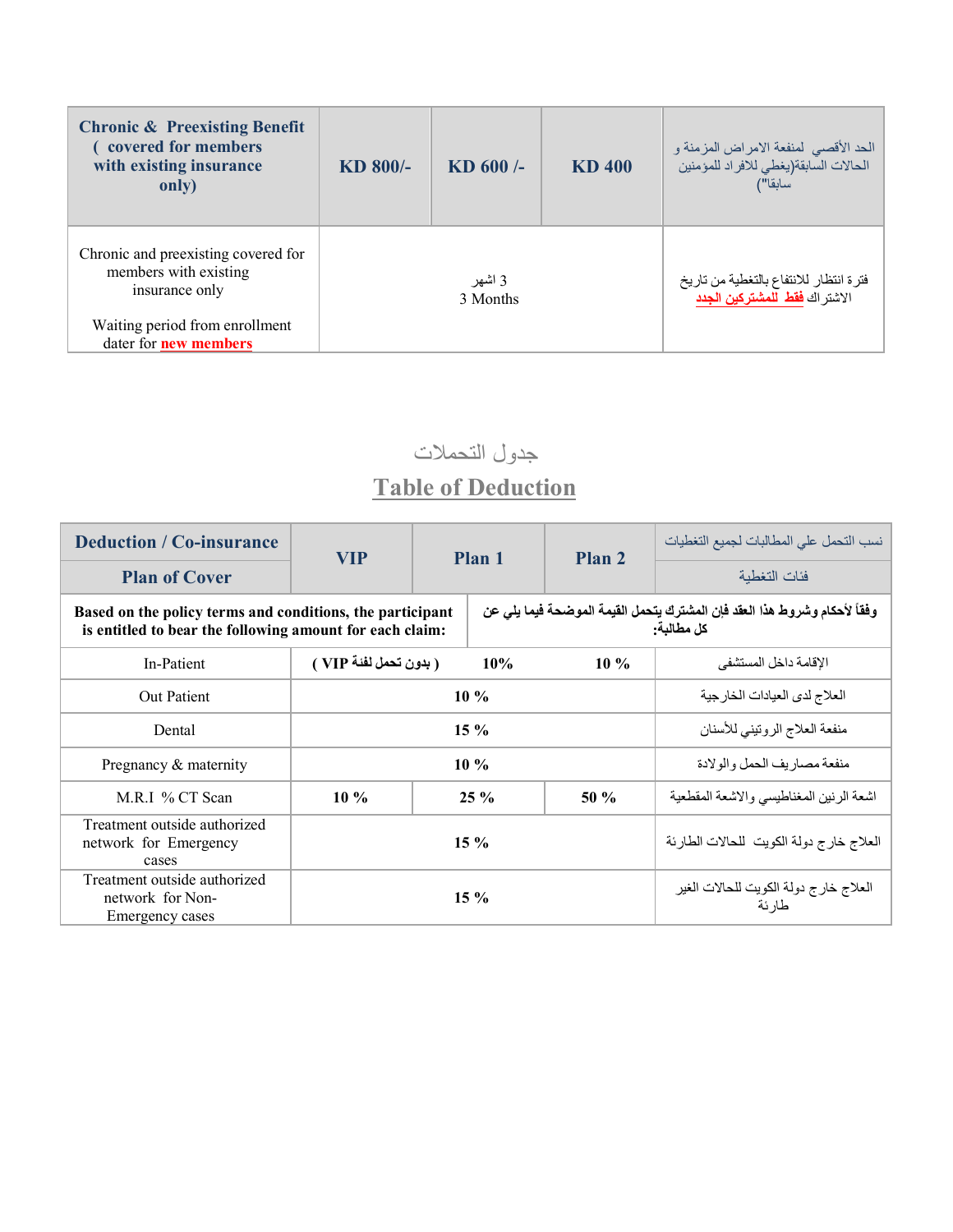| <b>Chronic &amp; Preexisting Benefit</b><br>covered for members<br>with existing insurance<br>only) | KD 800/- | KD 600/-           | KD 400 | الحد الأقصىي لمنفعة الامراض المزمنة و<br>الحالات السابقة(يغطي للافراد للمؤمنين<br>سابقا") |
|-----------------------------------------------------------------------------------------------------|----------|--------------------|--------|-------------------------------------------------------------------------------------------|
| Chronic and preexisting covered for<br>members with existing<br>insurance only                      |          | 3 اشهر<br>3 Months |        | فتر ة انتظار للانتفاع بالتغطية من تاريخ<br>الاشتر اك <mark>فقط للمشتركين الجدد</mark>     |
| Waiting period from enrollment<br>dater for <b>new members</b>                                      |          |                    |        |                                                                                           |

جدول التحملات

## **Table of Deduction**

| <b>Deduction / Co-insurance</b>                                                                                       | <b>VIP</b>             |  | Plan <sub>2</sub><br>Plan 1                                                             | نسب التحمل على المطالبات لجميع التغطيات         |                                         |
|-----------------------------------------------------------------------------------------------------------------------|------------------------|--|-----------------------------------------------------------------------------------------|-------------------------------------------------|-----------------------------------------|
| <b>Plan of Cover</b>                                                                                                  |                        |  |                                                                                         |                                                 | فئات التغطبة                            |
| Based on the policy terms and conditions, the participant<br>is entitled to bear the following amount for each claim: |                        |  | وفقاً لأحكام وشروط هذا العقد فإن المشترك يتحمل القيمة الموضحة فيما يلي عن<br>كل مطالبة. |                                                 |                                         |
| In-Patient                                                                                                            | ( بدون تحمل لفئة VIP ) |  | 10%                                                                                     | $10\%$                                          | الإقامة داخل المستشفى                   |
| <b>Out Patient</b>                                                                                                    | $10\%$                 |  |                                                                                         | العلاج لدى العيادات الخارجية                    |                                         |
| Dental                                                                                                                | $15\%$                 |  |                                                                                         | منفعة العلاج الروتيني للأسنان                   |                                         |
| Pregnancy & maternity                                                                                                 | $10\%$                 |  |                                                                                         | منفعة مصاريف الحمل والولادة                     |                                         |
| M.R.I % CT Scan                                                                                                       | $10\%$                 |  | $25 \%$                                                                                 | $50\%$                                          | اشعة الرنين المغناطيسي والاشعة المقطعية |
| Treatment outside authorized<br>network for Emergency<br>cases                                                        |                        |  | $15\%$                                                                                  |                                                 | العلاج خارج دولة الكويت للحالات الطارئة |
| Treatment outside authorized<br>network for Non-<br>Emergency cases                                                   | $15 \%$                |  |                                                                                         | العلاج خارج دولة الكويت للحالات الغير<br>طار ئة |                                         |